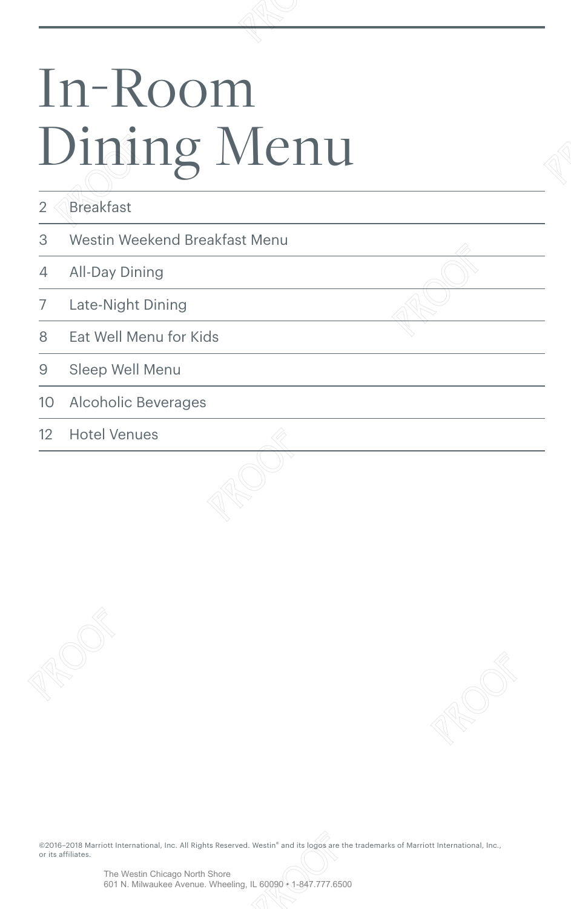# In-Room Dining Menu In-Room<br>Dining Me

|            | Dining Menu                                                                                                                                                  |  |  |
|------------|--------------------------------------------------------------------------------------------------------------------------------------------------------------|--|--|
| $\sqrt{2}$ | <b>Breakfast</b>                                                                                                                                             |  |  |
| 3          | Westin Weekend Breakfast Menu                                                                                                                                |  |  |
| 4          | All-Day Dining                                                                                                                                               |  |  |
| 7          | Late-Night Dining                                                                                                                                            |  |  |
| 8          | Eat Well Menu for Kids                                                                                                                                       |  |  |
| $\Theta$   | Sleep Well Menu                                                                                                                                              |  |  |
| 10         | Alcoholic Beverages                                                                                                                                          |  |  |
| 12         | <b>Hotel Venues</b>                                                                                                                                          |  |  |
|            |                                                                                                                                                              |  |  |
|            |                                                                                                                                                              |  |  |
|            | @2016-2018 Marriott International, Inc. All Rights Reserved. Westin® and its logos are the trademarks of Marriott International, Inc.,<br>or its affiliates. |  |  |
|            | The Westin Chicago North Shore<br>601 N. Milwaukee Avenue. Wheeling, IL 60090 · 1-847.777.6500                                                               |  |  |

©2016–2018 Marriott International, Inc. All Rights Reserved. Westin® and its logos are the trademarks of Marriott International, Inc., or its affiliates. PROOF PROOF PROOF PROOF PROOF PROOF PROOF PROOF PROOF PROOF PROOF PROOF PROOF PROOF PROOF PROOF PROOF PROOF PRO<br>PROOF PROOF PROOF PROOF PROOF PROOF PROOF PROOF PROOF PROOF PROOF PROOF PROOF PROOF PROOF PROOF PROOF PROOF PR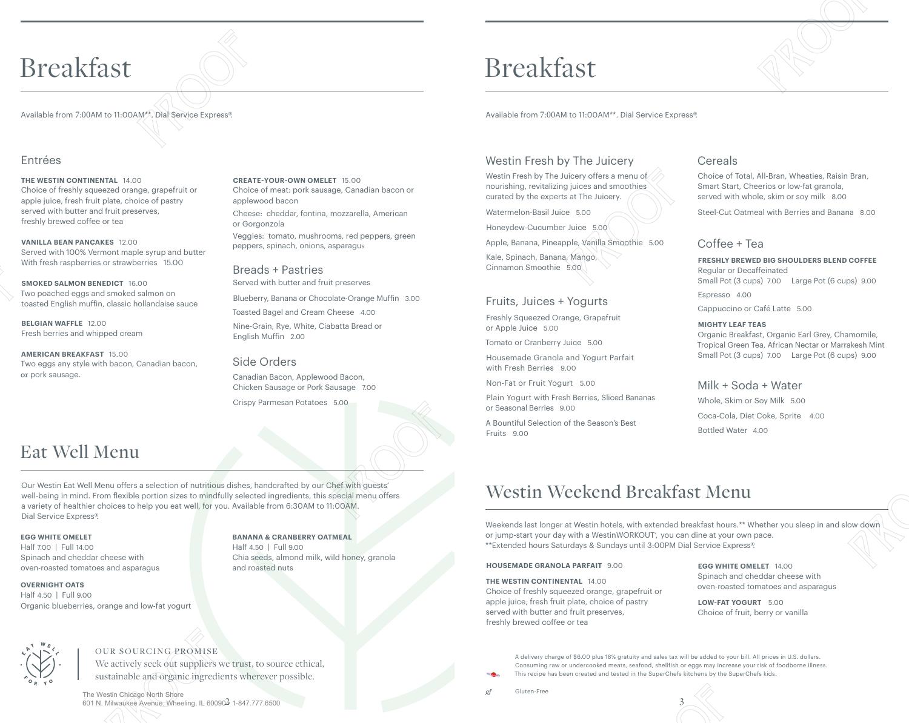# Breakfast Breakfast<br>
Available from 7:00AM to 11:00AM\*\*. Dial Service Express<sup>9</sup>.<br>
Entrées<br>
THE WESTIN CONTINENTAL 14.00

Available from 7:00AM to 11:00AM\*\*. Dial Service Express®.

# Entrées

# **THE WESTIN CONTINENTAL** 14.00

Choice of freshly squeezed orange, grapefruit or apple juice, fresh fruit plate, choice of pastry served with butter and fruit preserves, freshly brewed coffee or tea  $\begin{tabular}{l|c|c|c|c|c|c} \hline \multicolumn{1}{c}{\textbf{BTCalkfast}} & \multicolumn{1}{c}{\textbf{BTCalkfast}} & \multicolumn{1}{c}{\textbf{BTCalkfast}} & \multicolumn{1}{c}{\textbf{BTCalkfast}} & \multicolumn{1}{c}{\textbf{BTCakfast}} & \multicolumn{1}{c}{\textbf{BTCakfast}} & \multicolumn{1}{c}{\textbf{BTCakfast}} & \multicolumn{1}{c}{\textbf{BTCakfast}} & \multicolumn{1}{c}{\textbf{BTCakfast}} & \multicolumn{1}{c}{\textbf{BTCakrest}} & \multicolumn{1}{$ 

**VANILLA BEAN PANCAKES** 12.00 Served with 100% Vermont maple syrup and butter With fresh raspberries or strawberries 15.00

**SMOKED SALMON BENEDICT** 16.00 Two poached eggs and smoked salmon on toasted English muffin, classic hollandaise sauce

**BELGIAN WAFFLE** 12.00 Fresh berries and whipped cream

**AMERICAN BREAKFAST** 15.00 Two eggs any style with bacon, Canadian bacon, or pork sausage.

# **CREATE-YOUR-OWN OMELET** 15.00

Choice of meat: pork sausage, Canadian bacon or applewood bacon Cheese: cheddar, fontina, mozzarella, American or Gorgonzola

Veggies: tomato, mushrooms, red peppers, green peppers, spinach, onions, asparagus

Breads + Pastries Served with butter and fruit preserves

Blueberry, Banana or Chocolate-Orange Muffin 3.00

Toasted Bagel and Cream Cheese 4.00 Nine-Grain, Rye, White, Ciabatta Bread or

English Muffin 2.00

# Side Orders

Canadian Bacon, Applewood Bacon, Chicken Sausage or Pork Sausage 7.00

Crispy Parmesan Potatoes 5.00

**BANANA & CRANBERRY OATMEAL** 

Chia seeds, almond milk, wild honey, granola

Half 4.50 | Full 9.00

and roasted nuts

# Eat Well Menu

Our Westin Eat Well Menu offers a selection of nutritious dishes, handcrafted by our Chef with guests' well-being in mind. From flexible portion sizes to mindfully selected ingredients, this special menu offers a variety of healthier choices to help you eat well, for you. Available from 6:30AM to 11:00AM. Dial Service Express®. **PRODUCED A**<br> **PROOF PROOF PROOF PROOF PROOF PROOF PROOF PROOF PROOF PROOF PROOF PROOF PROOF PROOF PROOF PROOF PROOF PROOF PROOF PROOF PROOF PROOF PROOF PROOF PROOF PROOF PROOF PROOF PROOF PROOF PROOF PROOF PROOF PROOF PR** 

# **EGG WHITE OMELET**

Half 7.00 | Full 14.00 Spinach and cheddar cheese with oven-roasted tomatoes and asparagus

### **OVERNIGHT OATS**  Half 4.50 | Full 9.00

Organic blueberries, orange and low-fat yogurt



# OUR SOURCING PROMISE

We actively seek out suppliers we trust, to source ethical, sustainable and organic ingredients wherever possible.

# Breakfast

Available from 7:00AM to 11:00AM\*\*. Dial Service Express®.

# Westin Fresh by The Juicery

Westin Fresh by The Juicery offers a menu of nourishing, revitalizing juices and smoothies curated by the experts at The Juicery.

Watermelon-Basil Juice 5.00

Honeydew-Cucumber Juice 5.00

Apple, Banana, Pineapple, Vanilla Smoothie 5.00

Kale, Spinach, Banana, Mango, Cinnamon Smoothie 5.00

# Fruits, Juices + Yogurts

Freshly Squeezed Orange, Grapefruit or Apple Juice 5.00

Tomato or Cranberry Juice 5.00

Housemade Granola and Yogurt Parfait with Fresh Berries 9.00

Non-Fat or Fruit Yogurt 5.00

Plain Yogurt with Fresh Berries, Sliced Bananas or Seasonal Berries 9.00

A Bountiful Selection of the Season's Best Fruits 9.00

# Cereals

Choice of Total, All-Bran, Wheaties, Raisin Bran, Smart Start, Cheerios or low-fat granola, served with whole, skim or soy milk 8.00

Steel-Cut Oatmeal with Berries and Banana 8.00

# Coffee + Tea

**FRESHLY BREWED BIG SHOULDERS BLEND COFFEE**  Regular or Decaffeinated Small Pot (3 cups) 7.00 Large Pot (6 cups) 9.00 Espresso 4.00

Cappuccino or Café Latte 5.00

# **MIGHTY LEAF TEAS**

Organic Breakfast, Organic Earl Grey, Chamomile, Tropical Green Tea, African Nectar or Marrakesh Mint Small Pot (3 cups) 7.00 Large Pot (6 cups) 9.00

# Milk + Soda + Water

Whole, Skim or Soy Milk 5.00 Coca-Cola, Diet Coke, Sprite 4.00 Bottled Water 4.00

# Westin Weekend Breakfast Menu

Weekends last longer at Westin hotels, with extended breakfast hours.\*\* Whether you sleep in and slow down or jump-start your day with a WestinWORKOUT<sup>®</sup>, you can dine at your own pace. \*\*Extended hours Saturdays & Sundays until 3:00PM Dial Service Express®. First 3000<br>
Compress Smoothis Results<br>
Compress Smoothis Results<br>
First 300<br>
Fruits, Julices + Yogurts<br>
Provides a conservation and View Compress and Compress and Compress and<br>
Transition Compress and Compress and Compres

### **HOUSEMADE GRANOLA PARFAIT** 9.00

**THE WESTIN CONTINENTAL** 14.00  Choice of freshly squeezed orange, grapefruit or apple juice, fresh fruit plate, choice of pastry

served with butter and fruit preserves, freshly brewed coffee or tea

### **EGG WHITE OMELET** 14.00  Spinach and cheddar cheese with oven-roasted tomatoes and asparagus

**LOW-FAT YOGURT** 5.00 Choice of fruit, berry or vanilla

A delivery charge of \$6.00 plus 18% gratuity and sales tax will be added to your bill. All prices in U.S. dollars. Consuming raw or undercooked meats, seafood, shellfish or eggs may increase your risk of foodborne illness. This recipe has been created and tested in the SuperChefs kitchens by the SuperChefs kids. M Dial Service Express®.<br> **EGG WHITE OMELET** 14.00<br>
Spinach and cheddar cheese with<br>
oven-roasted tomatoes and asparagus<br> **LOW-FAT YOGURT** 5.00<br>
Choice of fruit, berry or vanilla<br>
tax will be added to your bill. All prices

Gluten-Free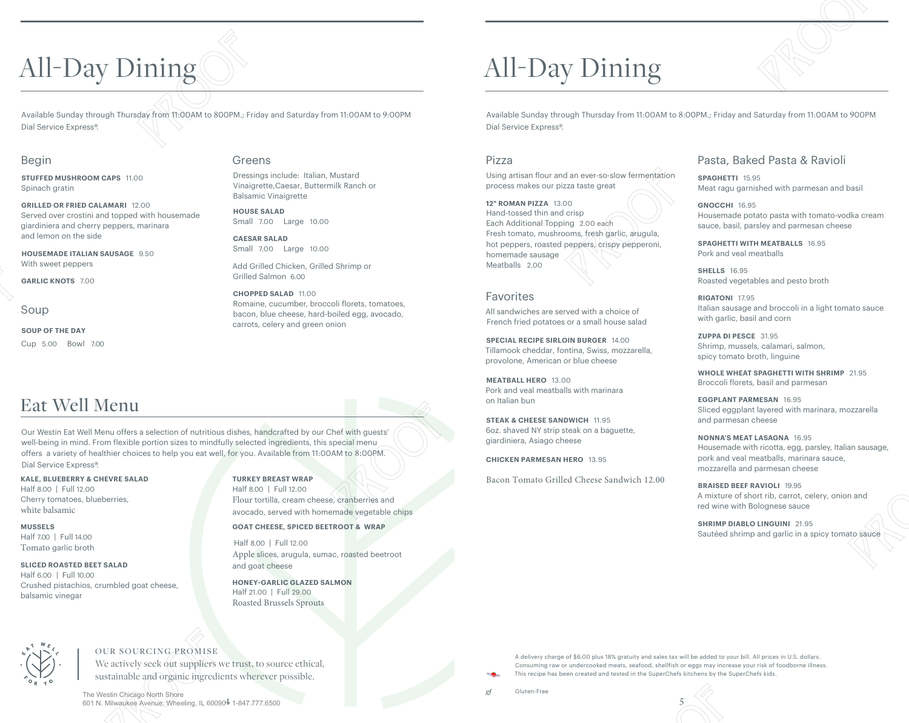# All-Day Dining

Available Sunday through Thursday from 11:00AM to 800PM.; Friday and Saturday from 11:00AM to 9:00PM Dial Service Express®. All-Day Dining<br>Available Sunday through Thursday from 11:00AM to 800PM.; Friday and Saturday from 11:00AM to 9:00PM<br>Dial Service Express®.<br>Begin Greens Pressings include: Italian, Mustard

# Begin

**STUFFED MUSHROOM CAPS** 11.00 Spinach gratin

**GRILLED OR FRIED CALAMARI** 12.00  Served over crostini and topped with housemade giardiniera and cherry peppers, marinara and lemon on the side

**HOUSEMADE ITALIAN SAUSAGE** 9.50 With sweet peppers

**GARLIC KNOTS** 7.00

Soup

**SOUP OF THE DAY**  Cup 5.00 Bowl 7.00

# Eat Well Menu

Our Westin Eat Well Menu offers a selection of nutritious dishes, handcrafted by our Chef with guests' well-being in mind. From flexible portion sizes to mindfully selected ingredients, this special menu offers a variety of healthier choices to help you eat well, for you. Available from 11:00AM to 8:00PM. Dial Service Express®. PROOF PROOF PROOF PROOF

> **KALE, BLUEBERRY & CHEVRE SALAD**  Half 8.00 | Full 12.00 Cherry tomatoes, blueberries, white balsamic

**MUSSELS**  Half 7.00 | Full 14.00 Tomato garlic broth

# **SLICED ROASTED BEET SALAD**

Half 6.00 | Full 10.00 Crushed pistachios, crumbled goat cheese, balsamic vinegar

# Greens

Dressings include: Italian, Mustard Vinaigrette,Caesar, Buttermilk Ranch or Balsamic Vinaigrette

**HOUSE SALAD**  Small 7.00 Large 10.00

**CAESAR SALAD**  Small 7.00 Large 10.00

Add Grilled Chicken, Grilled Shrimp or Grilled Salmon 6.00

**CHOPPED SALAD** 11.00 Romaine, cucumber, broccoli florets, tomatoes, bacon, blue cheese, hard-boiled egg, avocado, carrots, celery and green onion

# All-Day Dining

Available Sunday through Thursday from 11:00AM to 8:00PM.; Friday and Saturday from 11:00AM to 900PM Dial Service Express®.

# Pizza

Using artisan flour and an ever-so-slow fermentation process makes our pizza taste great

# **12" ROMAN PIZZA** 13.00 Hand-tossed thin and crisp Each Additional Topping 2.00 each  Fresh tomato, mushrooms, fresh garlic, arugula, hot peppers, roasted peppers, crispy pepperoni, homemade sausage Meatballs 2.00 PROOF PROOF PROOF PROOF

# Favorites

All sandwiches are served with a choice of French fried potatoes or a small house salad

**SPECIAL RECIPE SIRLOIN BURGER** 14.00  Tillamook cheddar, fontina, Swiss, mozzarella, provolone, American or blue cheese

**MEATBALL HERO** 13.00 Pork and veal meatballs with marinara on Italian bun

**STEAK & CHEESE SANDWICH** 11.95  6oz. shaved NY strip steak on a baguette, giardiniera, Asiago cheese

**CHICKEN PARMESAN HERO** 13.95

Bacon Tomato Grilled Cheese Sandwich 12.00

# Pasta, Baked Pasta & Ravioli

**SPAGHETTI** 15.95 Meat ragu garnished with parmesan and basil

**GNOCCHI** 16.95 Housemade potato pasta with tomato-vodka cream sauce, basil, parsley and parmesan cheese

**SPAGHETTI WITH MEATBALLS** 16.95  Pork and veal meatballs

**SHELLS** 16.95 Roasted vegetables and pesto broth

**RIGATONI** 17.95 Italian sausage and broccoli in a light tomato sauce with garlic, basil and corn

**ZUPPA DI PESCE** 31.95 Shrimp, mussels, calamari, salmon, spicy tomato broth, linguine

**WHOLE WHEAT SPAGHETTI WITH SHRIMP** 21.95  Broccoli florets, basil and parmesan

**EGGPLANT PARMESAN** 16.95 Sliced eggplant layered with marinara, mozzarella and parmesan cheese

**NONNA'S MEAT LASAGNA** 16.95 Housemade with ricotta, egg, parsley, Italian sausage, pork and veal meatballs, marinara sauce, mozzarella and parmesan cheese

**BRAISED BEEF RAVIOLI** 19.95 A mixture of short rib, carrot, celery, onion and red wine with Bolognese sauce

**SHRIMP DIABLO LINGUINI** 21.95 Sautéed shrimp and garlic in a spicy tomato sauce



# OUR SOURCING PROMISE

We actively seek out suppliers we trust, to source ethical, sustainable and organic ingredients wherever possible.

4 5 601 N. Milwaukee Avenue. Wheeling, IL 60090 • 1-847.777.6500The Westin Chicago North Shore

### Flour tortilla, cream cheese, cranberries and avocado, served with homemade vegetable chips

**TURKEY BREAST WRAP**  Half 8.00 | Full 12.00

**GOAT CHEESE, SPICED BEETROOT & WRAP** 

Half 8.00 | Full 12.00 Apple slices, arugula, sumac, roasted beetroot and goat cheese

**HONEY-GARLIC GLAZED SALMON**  Half 21.00 | Full 29.00 Roasted Brussels Sprouts

A delivery charge of \$6.00 plus 18% gratuity and sales tax will be added to your bill. All prices in U.S. dollars. Consuming raw or undercooked meats, seafood, shellfish or eggs may increase your risk of foodborne illness. This recipe has been created and tested in the SuperChefs kitchens by the SuperChefs kids. Method) 2.00<br>
Favoritetes<br>
Forethology and the state of the state of the state of the state of the state of the state of the state of the state of the state of the state of the state of the state of the state of the state tax will be added to your bill. All prices in U.S. dollars.<br>Fish or eggs may increase your risk of foodborne illness.<br>hefs kitchens by the SuperChefs kids.<br>5

Gluten-Free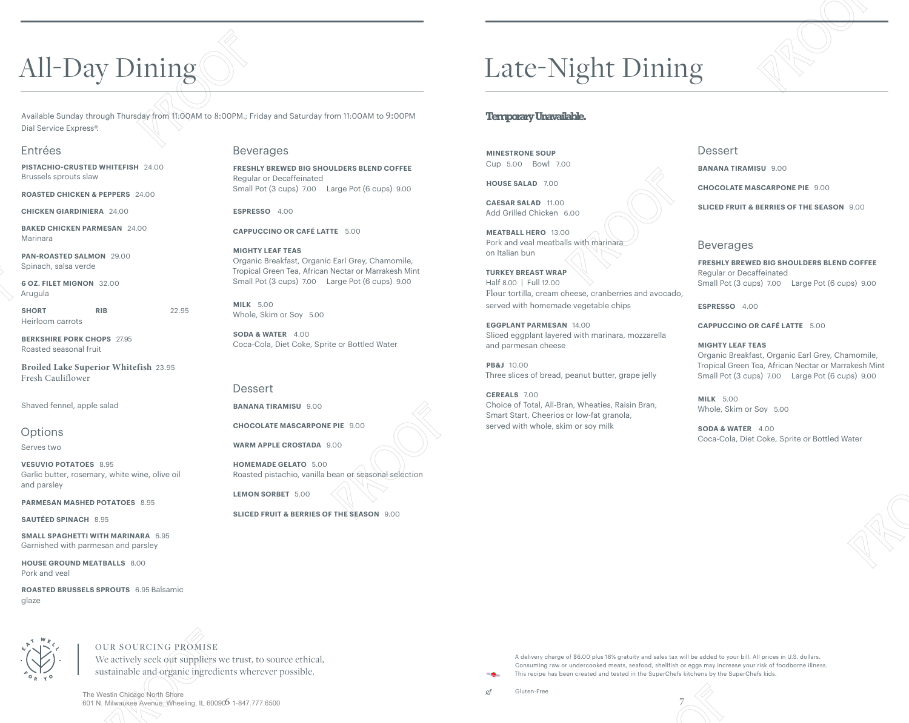# All-Day Dining

Available Sunday through Thursday from 11:00AM to 8:00PM.; Friday and Saturday from 11:00AM to 9:00PM Dial Service Express®. All-Day Dining<br>Available Sunday through Thursday from 11:00AM to 8:00PM.; Friday and Saturday from 11:00AM to 9:00PM<br>Dial Service Express®:<br>Entrées Beverages<br>PISTACHIO-CRUSTED WHITEFISH 24.00<br>Brussels sprouts slaw Requiar  $\begin{tabular}{l|c|c|c|c|c|c|c} \hline \multicolumn{3}{c}{\textbf{All}-Day Dining} & $\rule{0.15cm}{0.15cm}\hline \multicolumn{3}{c}{\textbf{All}-Day Dining} & $\rule{0.15cm}{0.15cm}\hline \multicolumn{3}{c}{\textbf{All}-Day Dining} & $\rule{0.15cm}{0.15cm}\hline \multicolumn{3}{c}{\textbf{All}-Day Dating} & $\rule{0.15cm}{0.15cm}\hline \multicolumn{3}{c}{\textbf{All}-Day Dating} & $\rule{0.15cm}{0.15cm}\hline \multicolumn{$ 

Beverages

**ESPRESSO** 4.00

**MIGHTY LEAF TEAS** 

Whole, Skim or Soy 5.00 **SODA & WATER** 4.00

**BANANA TIRAMISU** 9.00 

**LEMON SORBET** 5.00 

**CHOCOLATE MASCARPONE PIE** 9.00  **WARM APPLE CROSTADA** 9.00  **HOMEMADE GELATO** 5.00 

Roasted pistachio, vanilla bean or seasonal selection

**SLICED FRUIT & BERRIES OF THE SEASON** 9.00 

**MILK** 5.00

**Dessert** 

Regular or Decaffeinated

**CAPPUCCINO OR CAFÉ LATTE** 5.00

**FRESHLY BREWED BIG SHOULDERS BLEND COFFEE** 

Small Pot (3 cups) 7.00 Large Pot (6 cups) 9.00

Organic Breakfast, Organic Earl Grey, Chamomile, Tropical Green Tea, African Nectar or Marrakesh Mint Small Pot (3 cups) 7.00 Large Pot (6 cups) 9.00

Coca-Cola, Diet Coke, Sprite or Bottled Water

# Entrées

**PISTACHIO-CRUSTED WHITEFISH** 24.00 Brussels sprouts slaw

**ROASTED CHICKEN & PEPPERS** 24.00 

**CHICKEN GIARDINIERA** 24.00

**BAKED CHICKEN PARMESAN** 24.00 Marinara

**PAN-ROASTED SALMON** 29.00 Spinach, salsa verde

**6 OZ. FILET MIGNON** 32.00  Arugula

**SHORT RIB** 22.95 Heirloom carrots

**BERKSHIRE PORK CHOPS** 27.95  Roasted seasonal fruit

Fresh Cauliflower

# **Options**

Serves two

**VESUVIO POTATOES** 8.95 Garlic butter, rosemary, white wine, olive oil and parsley

**PARMESAN MASHED POTATOES** 8.95

**SAUTÉED SPINACH** 8.95

**SMALL SPAGHETTI WITH MARINARA** 6.95  Garnished with parmesan and parsley

**HOUSE GROUND MEATBALLS** 8.00 Pork and veal

**ROASTED BRUSSELS SPROUTS** 6.95 Balsamic glaze

**Broiled Lake Superior Whitefish** 23.95

Shaved fennel, apple salad

601 N. Milwaukee Avenue. Wheeling, IL 600906 1-847.777.6500

# OUR SOURCING PROMISE

The Westin Chicago North Shore

We actively seek out suppliers we trust, to source ethical, sustainable and organic ingredients wherever possible.

Late-Night Dining

# **Temporary Unavailable.**

**MINESTRONE SOUP**  Cup 5.00 Bowl 7.00

**HOUSE SALAD** 7.00

**CAESAR SALAD** 11.00 Add Grilled Chicken 6.00

**MEATBALL HERO** 13.00 Pork and veal meatballs with marinara on Italian bun

**TURKEY BREAST WRAP**  Half 8.00 | Full 12.00 Flour tortilla, cream cheese, cranberries and avocado, served with homemade vegetable chips Final control of the control of the control of the control of the control of the control of the control of the control of the control of the control of the control of the control of the control of the control of the contr FIGURE TURNEY BERAIT WEAP THE SIGN OF THE SIGN VEHICLE OR SHOULD CONSISTEND (1991) 2000<br>
FOR THE SIGN OF THE SIGN OF THE SIGN OF THE SIGN OF THE SIGN OF THE SIGN OF THE SIGN OF THE SIGN OF THE SIGN OF THE SIGN OF THE SIGN

**EGGPLANT PARMESAN** 14.00 Sliced eggplant layered with marinara, mozzarella and parmesan cheese

**PB&J** 10.00 Three slices of bread, peanut butter, grape jelly

**CEREALS** 7.00 Choice of Total, All-Bran, Wheaties, Raisin Bran, Smart Start, Cheerios or low-fat granola, served with whole, skim or soy milk

## **Dessert**

**BANANA TIRAMISU** 9.00 

**CHOCOLATE MASCARPONE PIE** 9.00 

**SLICED FRUIT & BERRIES OF THE SEASON** 9.00 

# Beverages

**FRESHLY BREWED BIG SHOULDERS BLEND COFFEE**  Regular or Decaffeinated Small Pot (3 cups) 7.00 Large Pot (6 cups) 9.00

**ESPRESSO** 4.00

**CAPPUCCINO OR CAFÉ LATTE** 5.00

## **MIGHTY LEAF TEAS**

Organic Breakfast, Organic Earl Grey, Chamomile, Tropical Green Tea, African Nectar or Marrakesh Mint Small Pot (3 cups) 7.00 Large Pot (6 cups) 9.00

**MILK** 5.00 Whole, Skim or Soy 5.00

**SODA & WATER** 4.00 Coca-Cola, Diet Coke, Sprite or Bottled Water

 $61-847.777.6500$   $7$ 

A delivery charge of \$6.00 plus 18% gratuity and sales tax will be added to your bill. All prices in U.S. dollars. Consuming raw or undercooked meats, seafood, shellfish or eggs may increase your risk of foodborne illness. This recipe has been created and tested in the SuperChefs kitchens by the SuperChefs kids. tax will be added to your bill. All prices in U.S. dollars.<br>Fish or eggs may increase your risk of foodborne illness.<br>hefs kitchens by the SuperChefs kids.<br>7

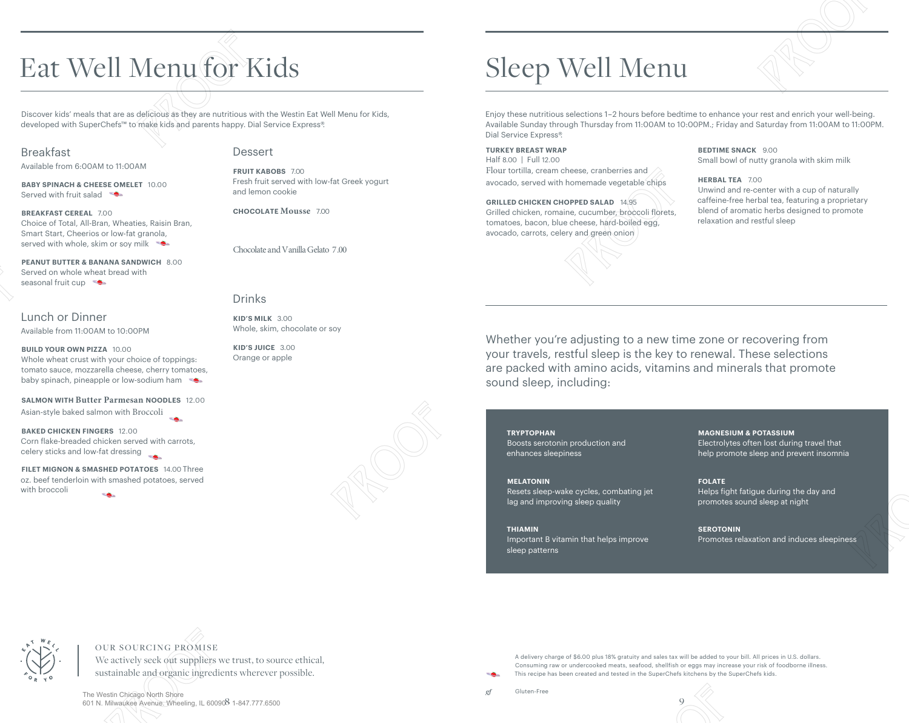# Eat Well Menu for Kids Eat Well Menu for Kids<br>Discover kids' meals that are as delicious as they are nutritious with the Westin Eat Well Menu for Kids,<br>developed with SuperChefs<sup>ns</sup> to make kids and parents happy. Dial Service Express<sup>®</sup>.<br>Breakf

Discover kids' meals that are as delicious as they are nutritious with the Westin Eat Well Menu for Kids, developed with SuperChefs™ to make kids and parents happy. Dial Service Express®.

# Breakfast

Available from 6:00AM to 11:00AM

**BABY SPINACH & CHEESE OMELET** 10.00 Served with fruit salad

**BREAKFAST CEREAL** 7.00 Choice of Total, All-Bran, Wheaties, Raisin Bran, Smart Start, Cheerios or low-fat granola, served with whole, skim or soy milk

**PEANUT BUTTER & BANANA SANDWICH** 8.00  Served on whole wheat bread with seasonal fruit cup

# Lunch or Dinner Available from 11:00AM to 10:00PM

**BUILD YOUR OWN PIZZA** 10.00  Whole wheat crust with your choice of toppings: tomato sauce, mozzarella cheese, cherry tomatoes, baby spinach, pineapple or low-sodium ham

## **SALMON WITH Butter Parmesan NOODLES** 12.00

Asian-style baked salmon with Broccoli

**BAKED CHICKEN FINGERS** 12.00 Corn flake-breaded chicken served with carrots, celery sticks and low-fat dressing

**FILET MIGNON & SMASHED POTATOES** 14.00 Three  oz. beef tenderloin with smashed potatoes, served with broccoli

# Dessert

**FRUIT KABOBS** 7.00 Fresh fruit served with low-fat Greek yogurt and lemon cookie

**CHOCOLATE Mousse** 7.00

Chocolate and Vanilla Gelato 7.00

# Drinks

**KID'S MILK** 3.00 Whole, skim, chocolate or soy

**KID'S JUICE** 3.00 Orange or apple

# Sleep Well Menu

 Enjoy these nutritious selections 1–2 hours before bedtime to enhance your rest and enrich your well-being. Available Sunday through Thursday from 11:00AM to 10:00PM.; Friday and Saturday from 11:00AM to 11:00PM. Dial Service Express®.

**TURKEY BREAST WRAP BEDTIME SNACK 9.00** Half 8.00 | Full 12.00 Small bowl of nutty granola with skim milk Flour tortilla, cream cheese, cranberries and

**GRILLED CHICKEN CHOPPED SALAD** 14.95 **caffeine-free herbal tea, featuring a proprietary** Grilled chicken, romaine, cucumber, broccoli florets, blend of aromatic herbs designed to promote<br>tomatoes bacon, blue cheese, bard-boiled egg relaxation and restful sleep tomatoes, bacon, blue cheese, hard-boiled egg, avocado, carrots, celery and green onion

### HERBAL TEA 700

**HERBAL TEA** 7.00 avocado, served with homemade vegetable chips Unwind and re-center with a cup of naturally

# PROOF PROOF PROOF PROOF PROP Well Menu and the Kids Second Control of the Control of the Control of the Control of the Control of the Control of the Control of the Control of the Control of the Control of the Control of the Control of the Contro Whether you're adjusting to a new time zone or recovering from<br>your travels, restful sleep is the key to renewal. These selections<br>are packed with amino acids, vitamins and minerals that promote<br>sound sleep, including:<br><br>**E** Whether you're adjusting to a new time zone or recovering from your travels, restful sleep is the key to renewal. These selections are packed with amino acids, vitamins and minerals that promote sound sleep, including:

**TRYPTOPHAN**  Boosts serotonin production and enhances sleepiness

# **MELATONIN**

Resets sleep-wake cycles, combating jet lag and improving sleep quality

**THIAMIN**  Important B vitamin that helps improve sleep patterns

**MAGNESIUM & POTASSIUM** 

Electrolytes often lost during travel that help promote sleep and prevent insomnia

# **FOLATE**

Helps fight fatigue during the day and promotes sound sleep at night

# **SEROTONIN**

Promotes relaxation and induces sleepiness



# OUR SOURCING PROMISE

We actively seek out suppliers we trust, to source ethical, sustainable and organic ingredients wherever possible.

8 9 601 N. Milwaukee Avenue. Wheeling, IL 60090 • 1-847.777.6500The Westin Chicago North Shore

A delivery charge of \$6.00 plus 18% gratuity and sales tax will be added to your bill. All prices in U.S. dollars. Consuming raw or undercooked meats, seafood, shellfish or eggs may increase your risk of foodborne illness. This recipe has been created and tested in the SuperChefs kitchens by the SuperChefs kids. Promotes relaxation and motoes sleepiness<br>tax will be added to your bill. All prices in U.S. dollars.<br>fish or eggs may increase your risk of foodborne illness.<br>hefs kitchens by the SuperChefs kids.<br>9